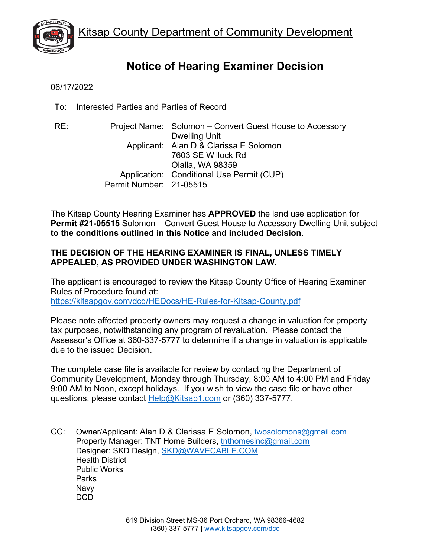

# **Notice of Hearing Examiner Decision**

06/17/2022

To: Interested Parties and Parties of Record

RE: Project Name: Solomon – Convert Guest House to Accessory Dwelling Unit Applicant: Alan D & Clarissa E Solomon 7603 SE Willock Rd Olalla, WA 98359 Application: Conditional Use Permit (CUP) Permit Number: 21-05515

The Kitsap County Hearing Examiner has **APPROVED** the land use application for **Permit #21-05515** Solomon – Convert Guest House to Accessory Dwelling Unit subject **to the conditions outlined in this Notice and included Decision**.

# **THE DECISION OF THE HEARING EXAMINER IS FINAL, UNLESS TIMELY APPEALED, AS PROVIDED UNDER WASHINGTON LAW.**

The applicant is encouraged to review the Kitsap County Office of Hearing Examiner Rules of Procedure found at: <https://kitsapgov.com/dcd/HEDocs/HE-Rules-for-Kitsap-County.pdf>

Please note affected property owners may request a change in valuation for property tax purposes, notwithstanding any program of revaluation. Please contact the Assessor's Office at 360-337-5777 to determine if a change in valuation is applicable due to the issued Decision.

The complete case file is available for review by contacting the Department of Community Development, Monday through Thursday, 8:00 AM to 4:00 PM and Friday 9:00 AM to Noon, except holidays. If you wish to view the case file or have other questions, please contact [Help@Kitsap1.com](mailto:Help@Kitsap1.com) or (360) 337-5777.

CC: Owner/Applicant: Alan D & Clarissa E Solomon, [twosolomons@gmail.com](mailto:twosolomons@gmail.com) Property Manager: TNT Home Builders, [tnthomesinc@gmail.com](mailto:tnthomesinc@gmail.com) Designer: SKD Design, [SKD@WAVECABLE.COM](mailto:SKD@WAVECABLE.COM) Health District Public Works Parks Navy DC<sub>D</sub>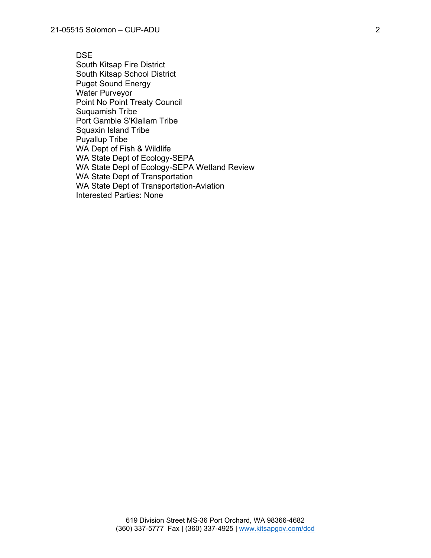DSE South Kitsap Fire District South Kitsap School District Puget Sound Energy Water Purveyor Point No Point Treaty Council Suquamish Tribe Port Gamble S'Klallam Tribe Squaxin Island Tribe Puyallup Tribe WA Dept of Fish & Wildlife WA State Dept of Ecology-SEPA WA State Dept of Ecology-SEPA Wetland Review WA State Dept of Transportation WA State Dept of Transportation-Aviation Interested Parties: None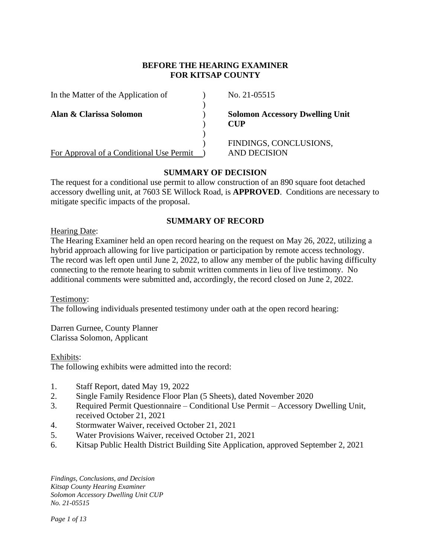# **BEFORE THE HEARING EXAMINER FOR KITSAP COUNTY**

| In the Matter of the Application of      | No. 21-05515        |                                        |
|------------------------------------------|---------------------|----------------------------------------|
| Alan & Clarissa Solomon                  | CUP                 | <b>Solomon Accessory Dwelling Unit</b> |
| For Approval of a Conditional Use Permit | <b>AND DECISION</b> | FINDINGS, CONCLUSIONS,                 |

# **SUMMARY OF DECISION**

The request for a conditional use permit to allow construction of an 890 square foot detached accessory dwelling unit, at 7603 SE Willock Road, is **APPROVED**. Conditions are necessary to mitigate specific impacts of the proposal.

# **SUMMARY OF RECORD**

Hearing Date:

The Hearing Examiner held an open record hearing on the request on May 26, 2022, utilizing a hybrid approach allowing for live participation or participation by remote access technology. The record was left open until June 2, 2022, to allow any member of the public having difficulty connecting to the remote hearing to submit written comments in lieu of live testimony. No additional comments were submitted and, accordingly, the record closed on June 2, 2022.

Testimony: The following individuals presented testimony under oath at the open record hearing:

Darren Gurnee, County Planner Clarissa Solomon, Applicant

Exhibits:

The following exhibits were admitted into the record:

- 1. Staff Report, dated May 19, 2022
- 2. Single Family Residence Floor Plan (5 Sheets), dated November 2020
- 3. Required Permit Questionnaire Conditional Use Permit Accessory Dwelling Unit, received October 21, 2021
- 4. Stormwater Waiver, received October 21, 2021
- 5. Water Provisions Waiver, received October 21, 2021
- 6. Kitsap Public Health District Building Site Application, approved September 2, 2021

*Findings, Conclusions, and Decision Kitsap County Hearing Examiner Solomon Accessory Dwelling Unit CUP No. 21-05515*

*Page 1 of 13*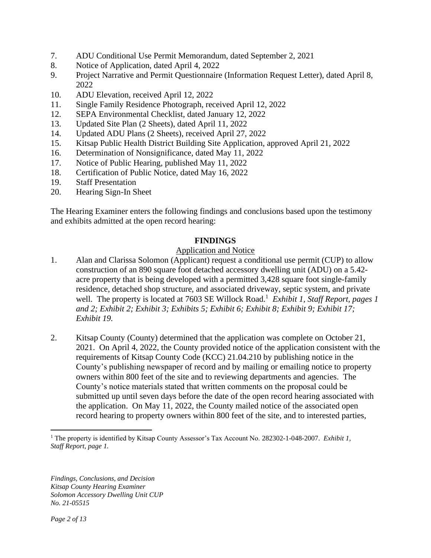- 7. ADU Conditional Use Permit Memorandum, dated September 2, 2021
- 8. Notice of Application, dated April 4, 2022
- 9. Project Narrative and Permit Questionnaire (Information Request Letter), dated April 8, 2022
- 10. ADU Elevation, received April 12, 2022
- 11. Single Family Residence Photograph, received April 12, 2022
- 12. SEPA Environmental Checklist, dated January 12, 2022
- 13. Updated Site Plan (2 Sheets), dated April 11, 2022
- 14. Updated ADU Plans (2 Sheets), received April 27, 2022
- 15. Kitsap Public Health District Building Site Application, approved April 21, 2022
- 16. Determination of Nonsignificance, dated May 11, 2022
- 17. Notice of Public Hearing, published May 11, 2022
- 18. Certification of Public Notice, dated May 16, 2022
- 19. Staff Presentation
- 20. Hearing Sign-In Sheet

The Hearing Examiner enters the following findings and conclusions based upon the testimony and exhibits admitted at the open record hearing:

#### **FINDINGS**

#### Application and Notice

- 1. Alan and Clarissa Solomon (Applicant) request a conditional use permit (CUP) to allow construction of an 890 square foot detached accessory dwelling unit (ADU) on a 5.42 acre property that is being developed with a permitted 3,428 square foot single-family residence, detached shop structure, and associated driveway, septic system, and private well. The property is located at 7603 SE Willock Road.<sup>1</sup> Exhibit 1, Staff Report, pages 1 *and 2; Exhibit 2; Exhibit 3; Exhibits 5; Exhibit 6; Exhibit 8; Exhibit 9; Exhibit 17; Exhibit 19.*
- 2. Kitsap County (County) determined that the application was complete on October 21, 2021. On April 4, 2022, the County provided notice of the application consistent with the requirements of Kitsap County Code (KCC) 21.04.210 by publishing notice in the County's publishing newspaper of record and by mailing or emailing notice to property owners within 800 feet of the site and to reviewing departments and agencies. The County's notice materials stated that written comments on the proposal could be submitted up until seven days before the date of the open record hearing associated with the application. On May 11, 2022, the County mailed notice of the associated open record hearing to property owners within 800 feet of the site, and to interested parties,

<sup>1</sup> The property is identified by Kitsap County Assessor's Tax Account No. 282302-1-048-2007. *Exhibit 1, Staff Report, page 1.*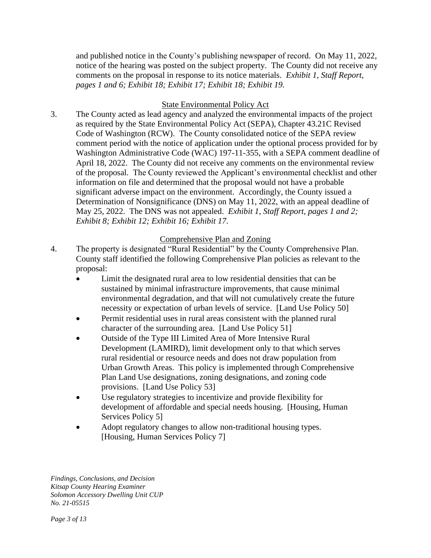and published notice in the County's publishing newspaper of record. On May 11, 2022, notice of the hearing was posted on the subject property. The County did not receive any comments on the proposal in response to its notice materials. *Exhibit 1, Staff Report, pages 1 and 6; Exhibit 18; Exhibit 17; Exhibit 18; Exhibit 19.* 

# State Environmental Policy Act

3. The County acted as lead agency and analyzed the environmental impacts of the project as required by the State Environmental Policy Act (SEPA), Chapter 43.21C Revised Code of Washington (RCW). The County consolidated notice of the SEPA review comment period with the notice of application under the optional process provided for by Washington Administrative Code (WAC) 197-11-355, with a SEPA comment deadline of April 18, 2022. The County did not receive any comments on the environmental review of the proposal. The County reviewed the Applicant's environmental checklist and other information on file and determined that the proposal would not have a probable significant adverse impact on the environment. Accordingly, the County issued a Determination of Nonsignificance (DNS) on May 11, 2022, with an appeal deadline of May 25, 2022. The DNS was not appealed. *Exhibit 1, Staff Report, pages 1 and 2; Exhibit 8; Exhibit 12; Exhibit 16; Exhibit 17.*

# Comprehensive Plan and Zoning

- 4. The property is designated "Rural Residential" by the County Comprehensive Plan. County staff identified the following Comprehensive Plan policies as relevant to the proposal:
	- Limit the designated rural area to low residential densities that can be sustained by minimal infrastructure improvements, that cause minimal environmental degradation, and that will not cumulatively create the future necessity or expectation of urban levels of service. [Land Use Policy 50]
	- Permit residential uses in rural areas consistent with the planned rural character of the surrounding area. [Land Use Policy 51]
	- Outside of the Type III Limited Area of More Intensive Rural Development (LAMIRD), limit development only to that which serves rural residential or resource needs and does not draw population from Urban Growth Areas. This policy is implemented through Comprehensive Plan Land Use designations, zoning designations, and zoning code provisions. [Land Use Policy 53]
	- Use regulatory strategies to incentivize and provide flexibility for development of affordable and special needs housing. [Housing, Human Services Policy 5]
	- Adopt regulatory changes to allow non-traditional housing types. [Housing, Human Services Policy 7]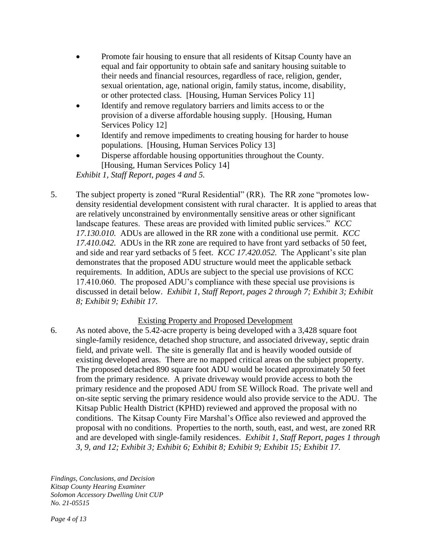- Promote fair housing to ensure that all residents of Kitsap County have an equal and fair opportunity to obtain safe and sanitary housing suitable to their needs and financial resources, regardless of race, religion, gender, sexual orientation, age, national origin, family status, income, disability, or other protected class. [Housing, Human Services Policy 11]
- Identify and remove regulatory barriers and limits access to or the provision of a diverse affordable housing supply. [Housing, Human Services Policy 12]
- Identify and remove impediments to creating housing for harder to house populations. [Housing, Human Services Policy 13]
- Disperse affordable housing opportunities throughout the County. [Housing, Human Services Policy 14]

*Exhibit 1, Staff Report, pages 4 and 5.*

5. The subject property is zoned "Rural Residential" (RR). The RR zone "promotes lowdensity residential development consistent with rural character. It is applied to areas that are relatively unconstrained by environmentally sensitive areas or other significant landscape features. These areas are provided with limited public services." *KCC 17.130.010.* ADUs are allowed in the RR zone with a conditional use permit. *KCC 17.410.042.* ADUs in the RR zone are required to have front yard setbacks of 50 feet, and side and rear yard setbacks of 5 feet. *KCC 17.420.052.* The Applicant's site plan demonstrates that the proposed ADU structure would meet the applicable setback requirements. In addition, ADUs are subject to the special use provisions of KCC 17.410.060. The proposed ADU's compliance with these special use provisions is discussed in detail below. *Exhibit 1, Staff Report, pages 2 through 7; Exhibit 3; Exhibit 8; Exhibit 9; Exhibit 17.*

# Existing Property and Proposed Development

6. As noted above, the 5.42-acre property is being developed with a 3,428 square foot single-family residence, detached shop structure, and associated driveway, septic drain field, and private well. The site is generally flat and is heavily wooded outside of existing developed areas. There are no mapped critical areas on the subject property. The proposed detached 890 square foot ADU would be located approximately 50 feet from the primary residence. A private driveway would provide access to both the primary residence and the proposed ADU from SE Willock Road. The private well and on-site septic serving the primary residence would also provide service to the ADU. The Kitsap Public Health District (KPHD) reviewed and approved the proposal with no conditions. The Kitsap County Fire Marshal's Office also reviewed and approved the proposal with no conditions. Properties to the north, south, east, and west, are zoned RR and are developed with single-family residences. *Exhibit 1, Staff Report, pages 1 through 3, 9, and 12; Exhibit 3; Exhibit 6; Exhibit 8; Exhibit 9; Exhibit 15; Exhibit 17.*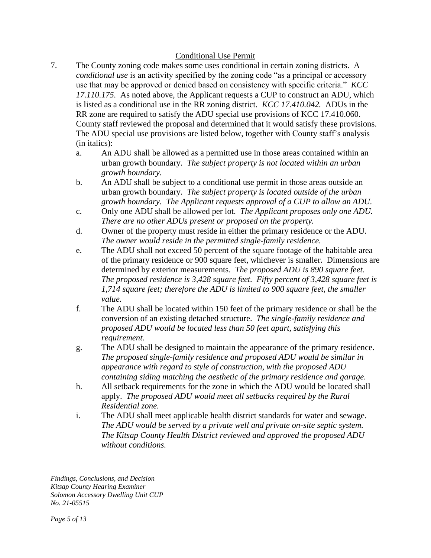# Conditional Use Permit

- 7. The County zoning code makes some uses conditional in certain zoning districts. A *conditional use* is an activity specified by the zoning code "as a principal or accessory use that may be approved or denied based on consistency with specific criteria." *KCC 17.110.175.* As noted above, the Applicant requests a CUP to construct an ADU, which is listed as a conditional use in the RR zoning district. *KCC 17.410.042.* ADUs in the RR zone are required to satisfy the ADU special use provisions of KCC 17.410.060. County staff reviewed the proposal and determined that it would satisfy these provisions. The ADU special use provisions are listed below, together with County staff's analysis (in italics):
	- a. An ADU shall be allowed as a permitted use in those areas contained within an urban growth boundary. *The subject property is not located within an urban growth boundary.*
	- b. An ADU shall be subject to a conditional use permit in those areas outside an urban growth boundary. *The subject property is located outside of the urban growth boundary. The Applicant requests approval of a CUP to allow an ADU.*
	- c. Only one ADU shall be allowed per lot. *The Applicant proposes only one ADU. There are no other ADUs present or proposed on the property.*
	- d. Owner of the property must reside in either the primary residence or the ADU. *The owner would reside in the permitted single-family residence.*
	- e. The ADU shall not exceed 50 percent of the square footage of the habitable area of the primary residence or 900 square feet, whichever is smaller. Dimensions are determined by exterior measurements. *The proposed ADU is 890 square feet. The proposed residence is 3,428 square feet. Fifty percent of 3,428 square feet is 1,714 square feet; therefore the ADU is limited to 900 square feet, the smaller value.*
	- f. The ADU shall be located within 150 feet of the primary residence or shall be the conversion of an existing detached structure. *The single-family residence and proposed ADU would be located less than 50 feet apart, satisfying this requirement.*
	- g. The ADU shall be designed to maintain the appearance of the primary residence. *The proposed single-family residence and proposed ADU would be similar in appearance with regard to style of construction, with the proposed ADU containing siding matching the aesthetic of the primary residence and garage.*
	- h. All setback requirements for the zone in which the ADU would be located shall apply. *The proposed ADU would meet all setbacks required by the Rural Residential zone.*
	- i. The ADU shall meet applicable health district standards for water and sewage. *The ADU would be served by a private well and private on-site septic system. The Kitsap County Health District reviewed and approved the proposed ADU without conditions.*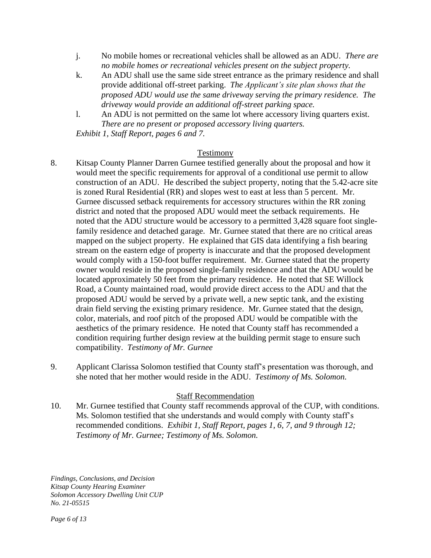- j. No mobile homes or recreational vehicles shall be allowed as an ADU. *There are no mobile homes or recreational vehicles present on the subject property.*
- k. An ADU shall use the same side street entrance as the primary residence and shall provide additional off-street parking. *The Applicant's site plan shows that the proposed ADU would use the same driveway serving the primary residence. The driveway would provide an additional off-street parking space.*
- l. An ADU is not permitted on the same lot where accessory living quarters exist. *There are no present or proposed accessory living quarters. Exhibit 1, Staff Report, pages 6 and 7.*

#### Testimony

- 8. Kitsap County Planner Darren Gurnee testified generally about the proposal and how it would meet the specific requirements for approval of a conditional use permit to allow construction of an ADU. He described the subject property, noting that the 5.42-acre site is zoned Rural Residential (RR) and slopes west to east at less than 5 percent. Mr. Gurnee discussed setback requirements for accessory structures within the RR zoning district and noted that the proposed ADU would meet the setback requirements. He noted that the ADU structure would be accessory to a permitted 3,428 square foot singlefamily residence and detached garage. Mr. Gurnee stated that there are no critical areas mapped on the subject property. He explained that GIS data identifying a fish bearing stream on the eastern edge of property is inaccurate and that the proposed development would comply with a 150-foot buffer requirement. Mr. Gurnee stated that the property owner would reside in the proposed single-family residence and that the ADU would be located approximately 50 feet from the primary residence. He noted that SE Willock Road, a County maintained road, would provide direct access to the ADU and that the proposed ADU would be served by a private well, a new septic tank, and the existing drain field serving the existing primary residence. Mr. Gurnee stated that the design, color, materials, and roof pitch of the proposed ADU would be compatible with the aesthetics of the primary residence. He noted that County staff has recommended a condition requiring further design review at the building permit stage to ensure such compatibility. *Testimony of Mr. Gurnee*
- 9. Applicant Clarissa Solomon testified that County staff's presentation was thorough, and she noted that her mother would reside in the ADU. *Testimony of Ms. Solomon.*

#### Staff Recommendation

10. Mr. Gurnee testified that County staff recommends approval of the CUP, with conditions. Ms. Solomon testified that she understands and would comply with County staff's recommended conditions. *Exhibit 1, Staff Report, pages 1, 6, 7, and 9 through 12; Testimony of Mr. Gurnee; Testimony of Ms. Solomon.*

*Findings, Conclusions, and Decision Kitsap County Hearing Examiner Solomon Accessory Dwelling Unit CUP No. 21-05515*

*Page 6 of 13*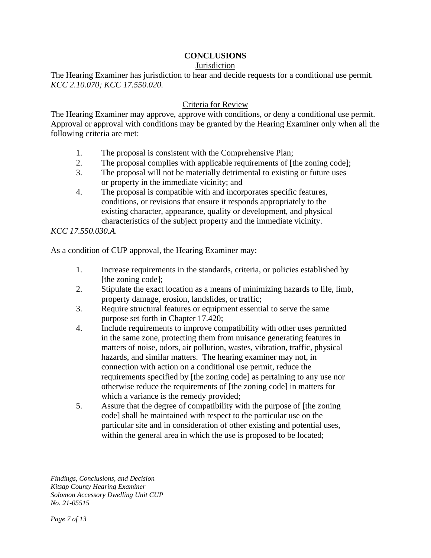# **CONCLUSIONS**

#### **Jurisdiction**

The Hearing Examiner has jurisdiction to hear and decide requests for a conditional use permit. *KCC 2.10.070; KCC 17.550.020.*

#### Criteria for Review

The Hearing Examiner may approve, approve with conditions, or deny a conditional use permit. Approval or approval with conditions may be granted by the Hearing Examiner only when all the following criteria are met:

- 1. The proposal is consistent with the Comprehensive Plan;
- 2. The proposal complies with applicable requirements of [the zoning code];
- 3. The proposal will not be materially detrimental to existing or future uses or property in the immediate vicinity; and
- 4. The proposal is compatible with and incorporates specific features, conditions, or revisions that ensure it responds appropriately to the existing character, appearance, quality or development, and physical characteristics of the subject property and the immediate vicinity.

*KCC 17.550.030.A.*

As a condition of CUP approval, the Hearing Examiner may:

- 1. Increase requirements in the standards, criteria, or policies established by [the zoning code];
- 2. Stipulate the exact location as a means of minimizing hazards to life, limb, property damage, erosion, landslides, or traffic;
- 3. Require structural features or equipment essential to serve the same purpose set forth in Chapter 17.420;
- 4. Include requirements to improve compatibility with other uses permitted in the same zone, protecting them from nuisance generating features in matters of noise, odors, air pollution, wastes, vibration, traffic, physical hazards, and similar matters. The hearing examiner may not, in connection with action on a conditional use permit, reduce the requirements specified by [the zoning code] as pertaining to any use nor otherwise reduce the requirements of [the zoning code] in matters for which a variance is the remedy provided;
- 5. Assure that the degree of compatibility with the purpose of [the zoning code] shall be maintained with respect to the particular use on the particular site and in consideration of other existing and potential uses, within the general area in which the use is proposed to be located;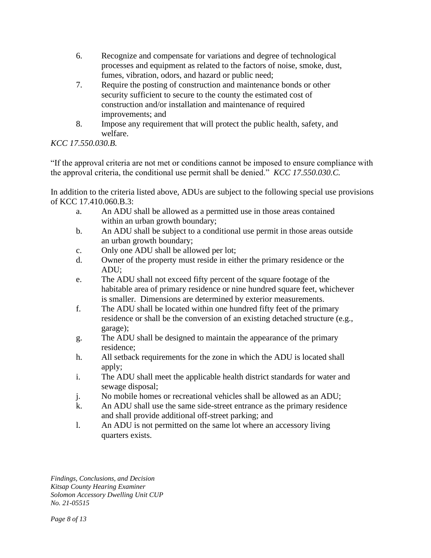- 6. Recognize and compensate for variations and degree of technological processes and equipment as related to the factors of noise, smoke, dust, fumes, vibration, odors, and hazard or public need;
- 7. Require the posting of construction and maintenance bonds or other security sufficient to secure to the county the estimated cost of construction and/or installation and maintenance of required improvements; and
- 8. Impose any requirement that will protect the public health, safety, and welfare.

# *KCC 17.550.030.B.*

"If the approval criteria are not met or conditions cannot be imposed to ensure compliance with the approval criteria, the conditional use permit shall be denied." *KCC 17.550.030.C.*

In addition to the criteria listed above, ADUs are subject to the following special use provisions of KCC 17.410.060.B.3:

- a. An ADU shall be allowed as a permitted use in those areas contained within an urban growth boundary;
- b. An ADU shall be subject to a conditional use permit in those areas outside an urban growth boundary;
- c. Only one ADU shall be allowed per lot;
- d. Owner of the property must reside in either the primary residence or the ADU;
- e. The ADU shall not exceed fifty percent of the square footage of the habitable area of primary residence or nine hundred square feet, whichever is smaller. Dimensions are determined by exterior measurements.
- f. The ADU shall be located within one hundred fifty feet of the primary residence or shall be the conversion of an existing detached structure (e.g., garage);
- g. The ADU shall be designed to maintain the appearance of the primary residence;
- h. All setback requirements for the zone in which the ADU is located shall apply;
- i. The ADU shall meet the applicable health district standards for water and sewage disposal;
- j. No mobile homes or recreational vehicles shall be allowed as an ADU;
- k. An ADU shall use the same side-street entrance as the primary residence and shall provide additional off-street parking; and
- l. An ADU is not permitted on the same lot where an accessory living quarters exists.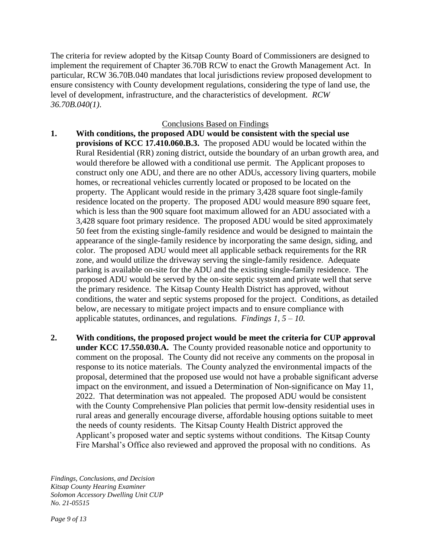The criteria for review adopted by the Kitsap County Board of Commissioners are designed to implement the requirement of Chapter 36.70B RCW to enact the Growth Management Act. In particular, RCW 36.70B.040 mandates that local jurisdictions review proposed development to ensure consistency with County development regulations, considering the type of land use, the level of development, infrastructure, and the characteristics of development. *RCW 36.70B.040(1)*.

#### Conclusions Based on Findings

- **1. With conditions, the proposed ADU would be consistent with the special use provisions of KCC 17.410.060.B.3.** The proposed ADU would be located within the Rural Residential (RR) zoning district, outside the boundary of an urban growth area, and would therefore be allowed with a conditional use permit. The Applicant proposes to construct only one ADU, and there are no other ADUs, accessory living quarters, mobile homes, or recreational vehicles currently located or proposed to be located on the property. The Applicant would reside in the primary 3,428 square foot single-family residence located on the property. The proposed ADU would measure 890 square feet, which is less than the 900 square foot maximum allowed for an ADU associated with a 3,428 square foot primary residence. The proposed ADU would be sited approximately 50 feet from the existing single-family residence and would be designed to maintain the appearance of the single-family residence by incorporating the same design, siding, and color. The proposed ADU would meet all applicable setback requirements for the RR zone, and would utilize the driveway serving the single-family residence. Adequate parking is available on-site for the ADU and the existing single-family residence. The proposed ADU would be served by the on-site septic system and private well that serve the primary residence. The Kitsap County Health District has approved, without conditions, the water and septic systems proposed for the project. Conditions, as detailed below, are necessary to mitigate project impacts and to ensure compliance with applicable statutes, ordinances, and regulations. *Findings 1, 5 – 10.*
- **2. With conditions, the proposed project would be meet the criteria for CUP approval under KCC 17.550.030.A.** The County provided reasonable notice and opportunity to comment on the proposal. The County did not receive any comments on the proposal in response to its notice materials. The County analyzed the environmental impacts of the proposal, determined that the proposed use would not have a probable significant adverse impact on the environment, and issued a Determination of Non-significance on May 11, 2022. That determination was not appealed. The proposed ADU would be consistent with the County Comprehensive Plan policies that permit low-density residential uses in rural areas and generally encourage diverse, affordable housing options suitable to meet the needs of county residents. The Kitsap County Health District approved the Applicant's proposed water and septic systems without conditions. The Kitsap County Fire Marshal's Office also reviewed and approved the proposal with no conditions. As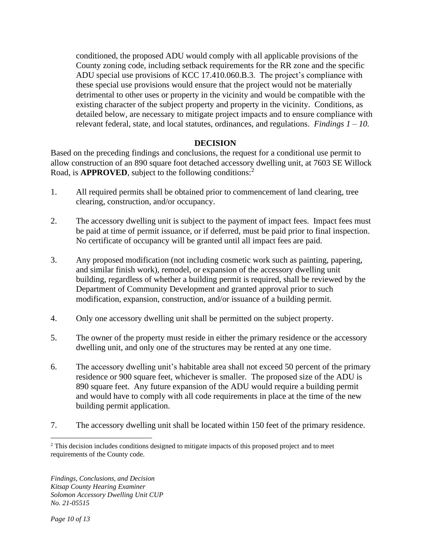conditioned, the proposed ADU would comply with all applicable provisions of the County zoning code, including setback requirements for the RR zone and the specific ADU special use provisions of KCC 17.410.060.B.3. The project's compliance with these special use provisions would ensure that the project would not be materially detrimental to other uses or property in the vicinity and would be compatible with the existing character of the subject property and property in the vicinity. Conditions, as detailed below, are necessary to mitigate project impacts and to ensure compliance with relevant federal, state, and local statutes, ordinances, and regulations. *Findings 1 – 10.*

#### **DECISION**

Based on the preceding findings and conclusions, the request for a conditional use permit to allow construction of an 890 square foot detached accessory dwelling unit, at 7603 SE Willock Road, is **APPROVED**, subject to the following conditions:<sup>2</sup>

- 1. All required permits shall be obtained prior to commencement of land clearing, tree clearing, construction, and/or occupancy.
- 2. The accessory dwelling unit is subject to the payment of impact fees. Impact fees must be paid at time of permit issuance, or if deferred, must be paid prior to final inspection. No certificate of occupancy will be granted until all impact fees are paid.
- 3. Any proposed modification (not including cosmetic work such as painting, papering, and similar finish work), remodel, or expansion of the accessory dwelling unit building, regardless of whether a building permit is required, shall be reviewed by the Department of Community Development and granted approval prior to such modification, expansion, construction, and/or issuance of a building permit.
- 4. Only one accessory dwelling unit shall be permitted on the subject property.
- 5. The owner of the property must reside in either the primary residence or the accessory dwelling unit, and only one of the structures may be rented at any one time.
- 6. The accessory dwelling unit's habitable area shall not exceed 50 percent of the primary residence or 900 square feet, whichever is smaller. The proposed size of the ADU is 890 square feet. Any future expansion of the ADU would require a building permit and would have to comply with all code requirements in place at the time of the new building permit application.
- 7. The accessory dwelling unit shall be located within 150 feet of the primary residence.

<sup>&</sup>lt;sup>2</sup> This decision includes conditions designed to mitigate impacts of this proposed project and to meet requirements of the County code.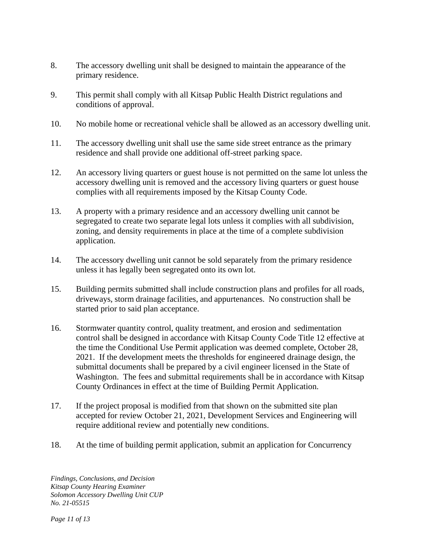- 8. The accessory dwelling unit shall be designed to maintain the appearance of the primary residence.
- 9. This permit shall comply with all Kitsap Public Health District regulations and conditions of approval.
- 10. No mobile home or recreational vehicle shall be allowed as an accessory dwelling unit.
- 11. The accessory dwelling unit shall use the same side street entrance as the primary residence and shall provide one additional off-street parking space.
- 12. An accessory living quarters or guest house is not permitted on the same lot unless the accessory dwelling unit is removed and the accessory living quarters or guest house complies with all requirements imposed by the Kitsap County Code.
- 13. A property with a primary residence and an accessory dwelling unit cannot be segregated to create two separate legal lots unless it complies with all subdivision, zoning, and density requirements in place at the time of a complete subdivision application.
- 14. The accessory dwelling unit cannot be sold separately from the primary residence unless it has legally been segregated onto its own lot.
- 15. Building permits submitted shall include construction plans and profiles for all roads, driveways, storm drainage facilities, and appurtenances. No construction shall be started prior to said plan acceptance.
- 16. Stormwater quantity control, quality treatment, and erosion and sedimentation control shall be designed in accordance with Kitsap County Code Title 12 effective at the time the Conditional Use Permit application was deemed complete, October 28, 2021. If the development meets the thresholds for engineered drainage design, the submittal documents shall be prepared by a civil engineer licensed in the State of Washington. The fees and submittal requirements shall be in accordance with Kitsap County Ordinances in effect at the time of Building Permit Application.
- 17. If the project proposal is modified from that shown on the submitted site plan accepted for review October 21, 2021, Development Services and Engineering will require additional review and potentially new conditions.
- 18. At the time of building permit application, submit an application for Concurrency

*Findings, Conclusions, and Decision Kitsap County Hearing Examiner Solomon Accessory Dwelling Unit CUP No. 21-05515*

*Page 11 of 13*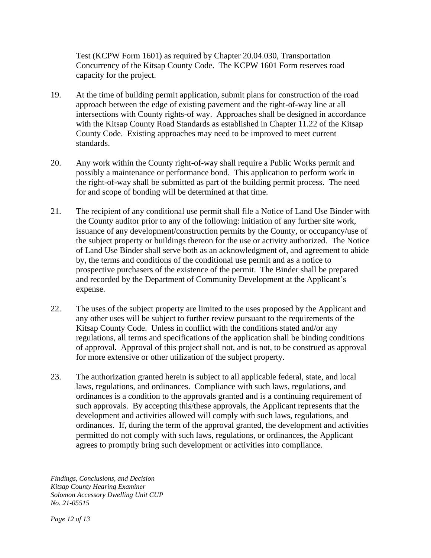Test (KCPW Form 1601) as required by Chapter 20.04.030, Transportation Concurrency of the Kitsap County Code. The KCPW 1601 Form reserves road capacity for the project.

- 19. At the time of building permit application, submit plans for construction of the road approach between the edge of existing pavement and the right-of-way line at all intersections with County rights-of way. Approaches shall be designed in accordance with the Kitsap County Road Standards as established in Chapter 11.22 of the Kitsap County Code. Existing approaches may need to be improved to meet current standards.
- 20. Any work within the County right-of-way shall require a Public Works permit and possibly a maintenance or performance bond. This application to perform work in the right-of-way shall be submitted as part of the building permit process. The need for and scope of bonding will be determined at that time.
- 21. The recipient of any conditional use permit shall file a Notice of Land Use Binder with the County auditor prior to any of the following: initiation of any further site work, issuance of any development/construction permits by the County, or occupancy/use of the subject property or buildings thereon for the use or activity authorized. The Notice of Land Use Binder shall serve both as an acknowledgment of, and agreement to abide by, the terms and conditions of the conditional use permit and as a notice to prospective purchasers of the existence of the permit. The Binder shall be prepared and recorded by the Department of Community Development at the Applicant's expense.
- 22. The uses of the subject property are limited to the uses proposed by the Applicant and any other uses will be subject to further review pursuant to the requirements of the Kitsap County Code. Unless in conflict with the conditions stated and/or any regulations, all terms and specifications of the application shall be binding conditions of approval. Approval of this project shall not, and is not, to be construed as approval for more extensive or other utilization of the subject property.
- 23. The authorization granted herein is subject to all applicable federal, state, and local laws, regulations, and ordinances. Compliance with such laws, regulations, and ordinances is a condition to the approvals granted and is a continuing requirement of such approvals. By accepting this/these approvals, the Applicant represents that the development and activities allowed will comply with such laws, regulations, and ordinances. If, during the term of the approval granted, the development and activities permitted do not comply with such laws, regulations, or ordinances, the Applicant agrees to promptly bring such development or activities into compliance.

*Findings, Conclusions, and Decision Kitsap County Hearing Examiner Solomon Accessory Dwelling Unit CUP No. 21-05515*

*Page 12 of 13*